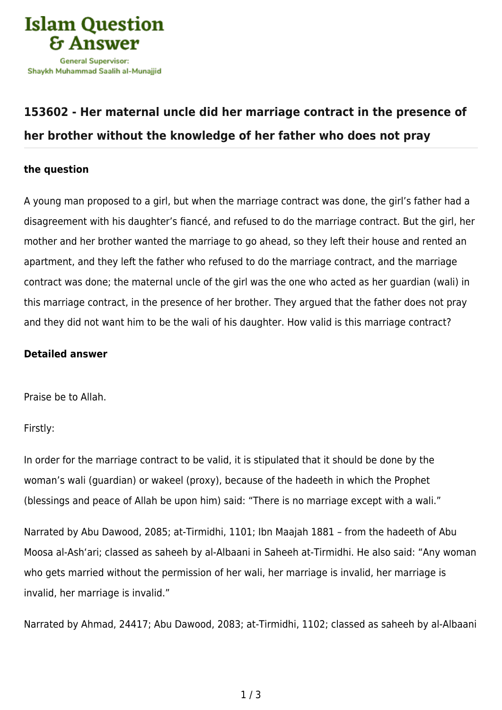

## **[153602 - Her maternal uncle did her marriage contract in the presence of](https://islamqa.com/en/answers/153602/her-maternal-uncle-did-her-marriage-contract-in-the-presence-of-her-brother-without-the-knowledge-of-her-father-who-does-not-pray) [her brother without the knowledge of her father who does not pray](https://islamqa.com/en/answers/153602/her-maternal-uncle-did-her-marriage-contract-in-the-presence-of-her-brother-without-the-knowledge-of-her-father-who-does-not-pray)**

## **the question**

A young man proposed to a girl, but when the marriage contract was done, the girl's father had a disagreement with his daughter's fiancé, and refused to do the marriage contract. But the girl, her mother and her brother wanted the marriage to go ahead, so they left their house and rented an apartment, and they left the father who refused to do the marriage contract, and the marriage contract was done; the maternal uncle of the girl was the one who acted as her guardian (wali) in this marriage contract, in the presence of her brother. They argued that the father does not pray and they did not want him to be the wali of his daughter. How valid is this marriage contract?

## **Detailed answer**

Praise be to Allah.

Firstly:

In order for the marriage contract to be valid, it is stipulated that it should be done by the woman's wali (guardian) or wakeel (proxy), because of the hadeeth in which the Prophet (blessings and peace of Allah be upon him) said: "There is no marriage except with a wali."

Narrated by Abu Dawood, 2085; at-Tirmidhi, 1101; Ibn Maajah 1881 – from the hadeeth of Abu Moosa al-Ash'ari; classed as saheeh by al-Albaani in Saheeh at-Tirmidhi. He also said: "Any woman who gets married without the permission of her wali, her marriage is invalid, her marriage is invalid, her marriage is invalid."

Narrated by Ahmad, 24417; Abu Dawood, 2083; at-Tirmidhi, 1102; classed as saheeh by al-Albaani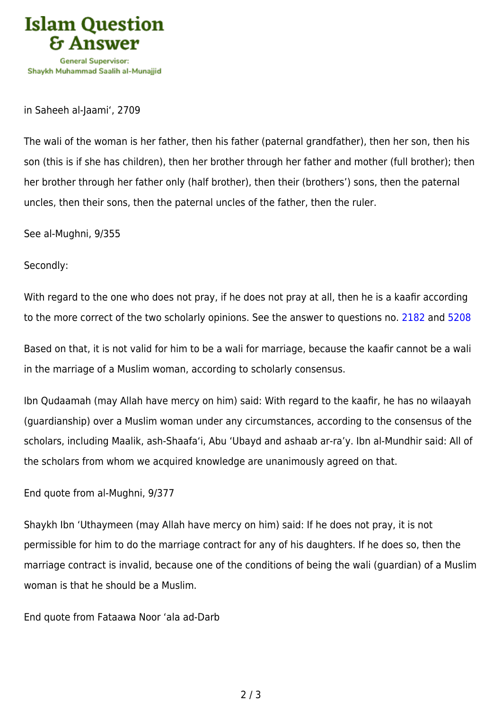

in Saheeh al-Jaami', 2709

The wali of the woman is her father, then his father (paternal grandfather), then her son, then his son (this is if she has children), then her brother through her father and mother (full brother); then her brother through her father only (half brother), then their (brothers') sons, then the paternal uncles, then their sons, then the paternal uncles of the father, then the ruler.

See al-Mughni, 9/355

Secondly:

With regard to the one who does not pray, if he does not pray at all, then he is a kaafir according to the more correct of the two scholarly opinions. See the answer to questions no. [2182](https://islamqa.com/en/answers/2182) and [5208](https://islamqa.com/en/answers/5208)

Based on that, it is not valid for him to be a wali for marriage, because the kaafir cannot be a wali in the marriage of a Muslim woman, according to scholarly consensus.

Ibn Qudaamah (may Allah have mercy on him) said: With regard to the kaafir, he has no wilaayah (guardianship) over a Muslim woman under any circumstances, according to the consensus of the scholars, including Maalik, ash-Shaafa'i, Abu 'Ubayd and ashaab ar-ra'y. Ibn al-Mundhir said: All of the scholars from whom we acquired knowledge are unanimously agreed on that.

End quote from al-Mughni, 9/377

Shaykh Ibn 'Uthaymeen (may Allah have mercy on him) said: If he does not pray, it is not permissible for him to do the marriage contract for any of his daughters. If he does so, then the marriage contract is invalid, because one of the conditions of being the wali (guardian) of a Muslim woman is that he should be a Muslim.

End quote from Fataawa Noor 'ala ad-Darb